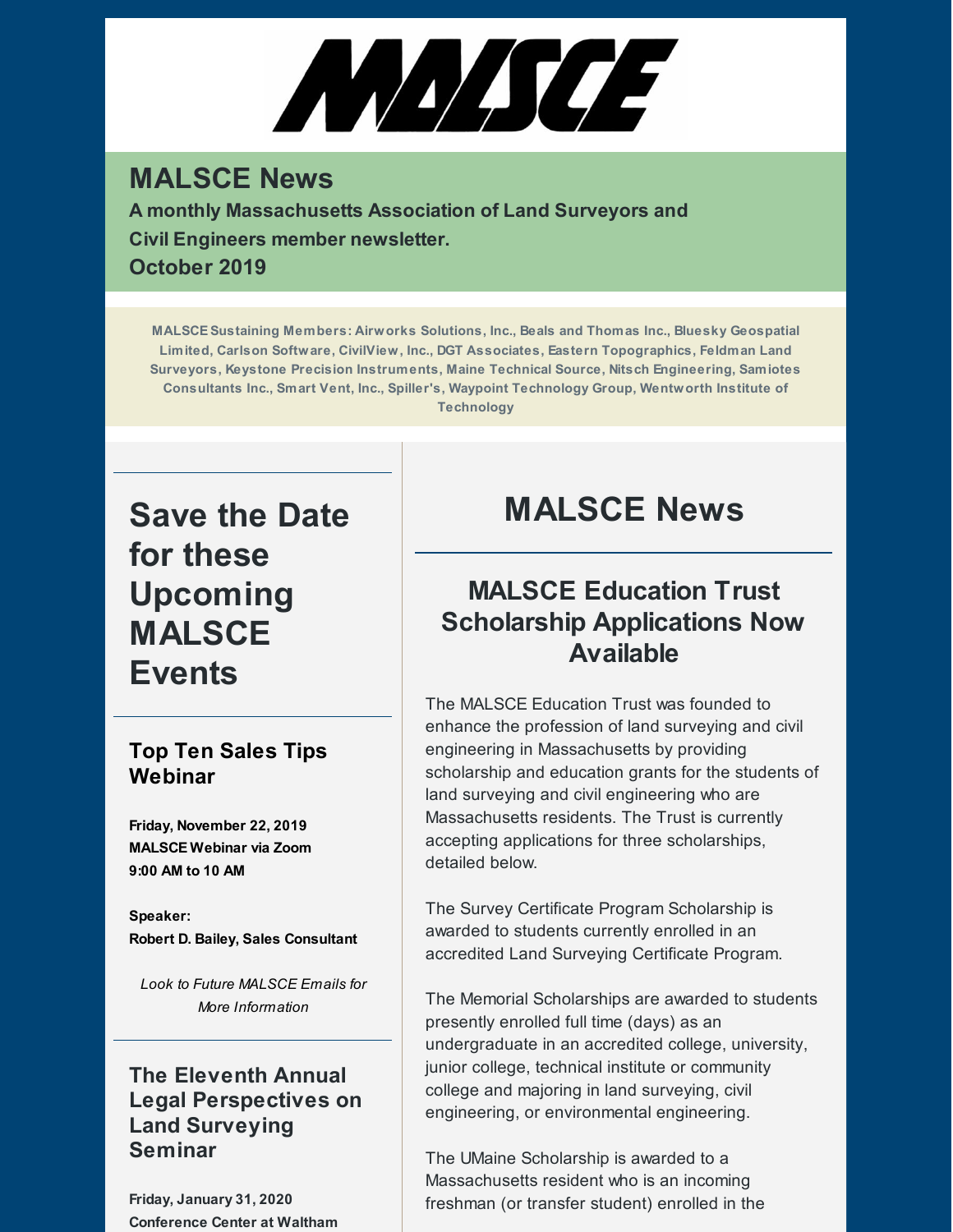# WYSCE

## **MALSCE News**

**A monthly Massachusetts Association of Land Surveyors and Civil Engineers member newsletter. October 2019**

**MALSCESustaining Members: Airworks Solutions, Inc., Beals and Thomas Inc., Bluesky Geospatial Limited, Carlson Software, CivilView, Inc., DGT Associates, Eastern Topographics, Feldman Land Surveyors, Keystone Precision Instruments, Maine Technical Source, Nitsch Engineering, Samiotes Consultants Inc., Smart Vent, Inc., Spiller's, Waypoint Technology Group, Wentworth Institute of Technology**

**Save the Date for these Upcoming MALSCE Events**

#### **Top Ten Sales Tips Webinar**

**Friday, November 22, 2019 MALSCE Webinar via Zoom 9:00 AM to 10 AM**

**Speaker: Robert D. Bailey, Sales Consultant**

*Look to Future MALSCE Emails for More Information*

#### **The Eleventh Annual Legal Perspectives on Land Surveying Seminar**

**Friday, January 31, 2020 Conference Center at Waltham**

# **MALSCE News**

## **MALSCE Education Trust Scholarship Applications Now Available**

The MALSCE Education Trust was founded to enhance the profession of land surveying and civil engineering in Massachusetts by providing scholarship and education grants for the students of land surveying and civil engineering who are Massachusetts residents. The Trust is currently accepting applications for three scholarships, detailed below.

The Survey Certificate Program Scholarship is awarded to students currently enrolled in an accredited Land Surveying Certificate Program.

The Memorial Scholarships are awarded to students presently enrolled full time (days) as an undergraduate in an accredited college, university, junior college, technical institute or community college and majoring in land surveying, civil engineering, or environmental engineering.

The UMaine Scholarship is awarded to a Massachusetts resident who is an incoming freshman (or transfer student) enrolled in the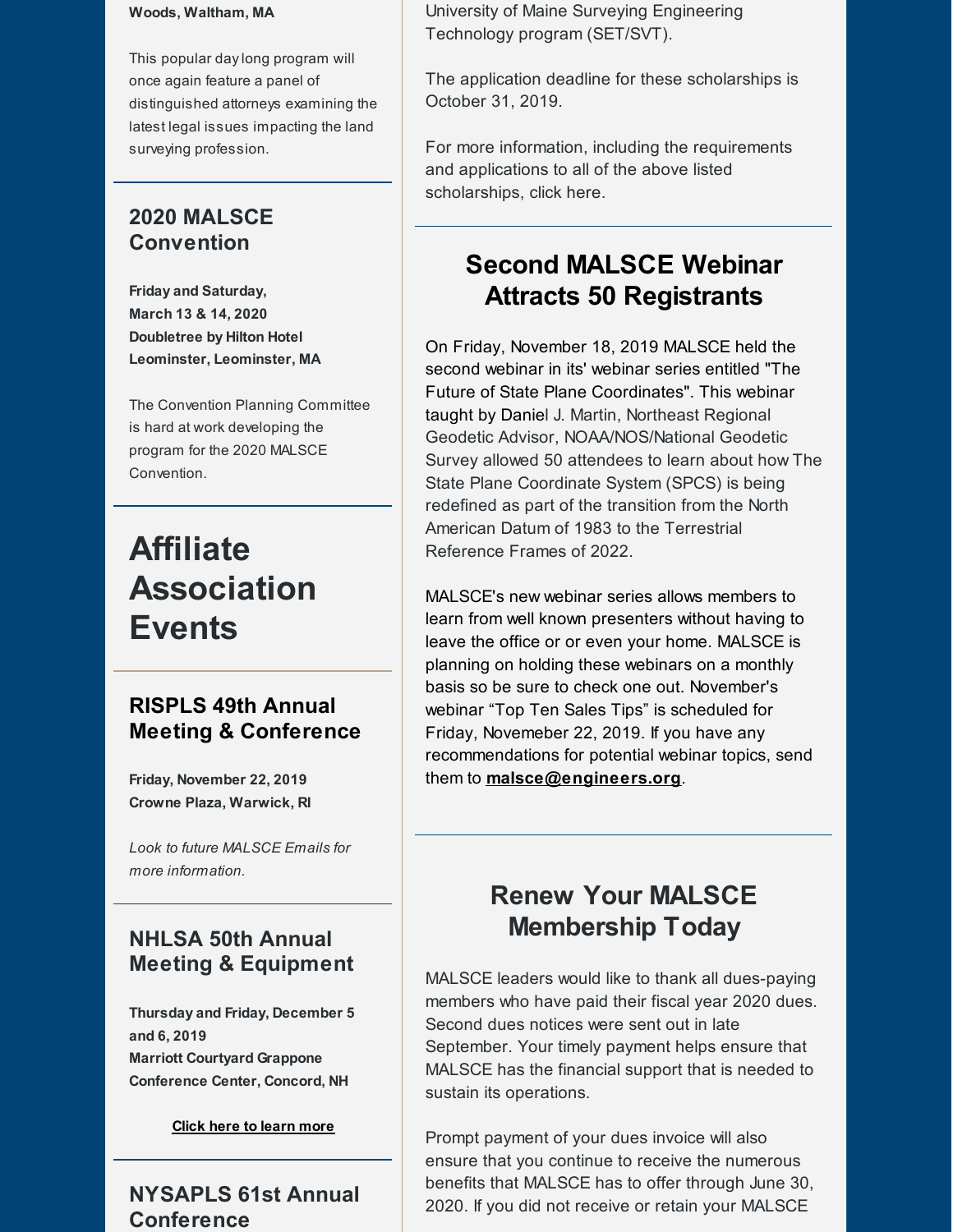#### **Woods, Waltham, MA**

This popular daylong program will once again feature a panel of distinguished attorneys examining the latest legal issues impacting the land surveying profession.

#### **2020 MALSCE Convention**

**Friday and Saturday, March 13 & 14, 2020 Doubletree by Hilton Hotel Leominster, Leominster, MA**

The Convention Planning Committee is hard at work developing the program for the 2020 MALSCE Convention.

# **Affiliate Association Events**

#### **RISPLS 49th Annual Meeting & Conference**

**Friday, November 22, 2019 Crowne Plaza, Warwick, RI**

*Look to future MALSCE Emails for more information.*

#### **NHLSA 50th Annual Meeting & Equipment**

**Thursday and Friday, December 5 and 6, 2019 Marriott Courtyard Grappone Conference Center, Concord, NH**

#### **Click here to [learn](http://files.engineers.org/file/Annual-Brochure.pdf) more**

**NYSAPLS 61st Annual Conference**

University of Maine Surveying Engineering Technology program (SET/SVT).

The application deadline for these scholarships is October 31, 2019.

For more information, including the requirements and applications to all of the above listed scholarships, click here.

## **Second MALSCE Webinar Attracts 50 Registrants**

On Friday, November 18, 2019 MALSCE held the second webinar in its' webinar series entitled "The Future of State Plane Coordinates". This webinar taught by Daniel J. Martin, Northeast Regional Geodetic Advisor, NOAA/NOS/National Geodetic Survey allowed 50 attendees to learn about how The State Plane Coordinate System (SPCS) is being redefined as part of the transition from the North American Datum of 1983 to the Terrestrial Reference Frames of 2022.

MALSCE's new webinar series allows members to learn from well known presenters without having to leave the office or or even your home. MALSCE is planning on holding these webinars on a monthly basis so be sure to check one out. November's webinar "Top Ten Sales Tips" is scheduled for Friday, Novemeber 22, 2019. If you have any recommendations for potential webinar topics, send them to **[malsce@engineers.org](mailto:malsce@engineers.org)**.

## **Renew Your MALSCE Membership Today**

MALSCE leaders would like to thank all dues-paying members who have paid their fiscal year 2020 dues. Second dues notices were sent out in late September. Your timely payment helps ensure that MALSCE has the financial support that is needed to sustain its operations.

Prompt payment of your dues invoice will also ensure that you continue to receive the numerous benefits that MALSCE has to offer through June 30, 2020. If you did not receive or retain your MALSCE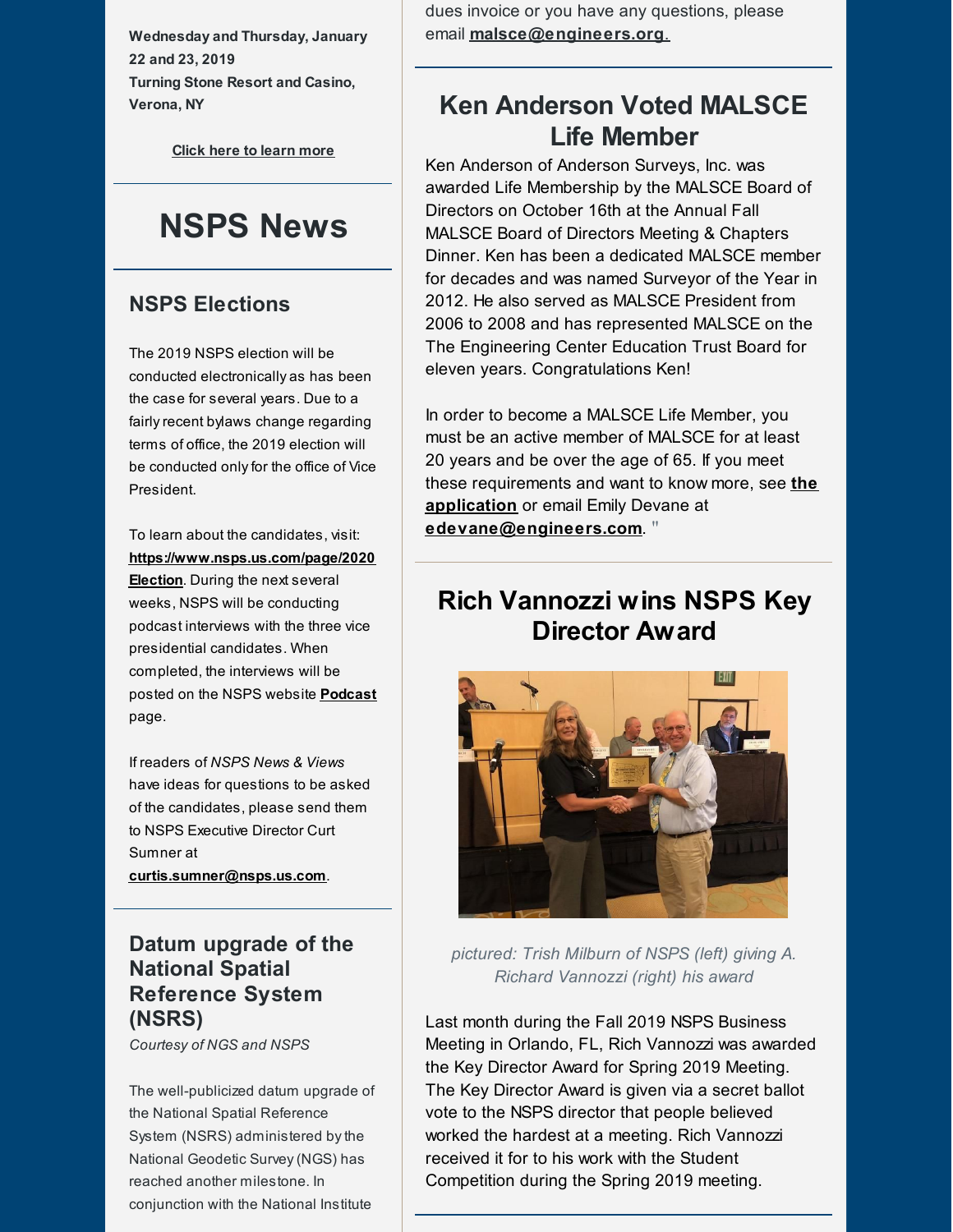**Wednesday and Thursday, January 22 and 23, 2019 Turning Stone Resort and Casino, Verona, NY**

**Click here to [learn](https://www.nysapls.org/events/EventDetails.aspx?id=1262646&group=) more**

## **NSPS News**

#### **NSPS Elections**

The 2019 NSPS election will be conducted electronically as has been the case for several years. Due to a fairly recent bylaws change regarding terms of office, the 2019 election will be conducted only for the office of Vice President.

To learn about the candidates, visit: **[https://www.nsps.us.com/page/2020](https://www.nsps.us.com/page/2020Election) Election**. During the next several weeks, NSPS will be conducting podcast interviews with the three vice presidential candidates. When completed, the interviews will be posted on the NSPS website **[Podcast](https://www.nsps.us.com/page/Podcast)** page.

If readers of *NSPS News & Views* have ideas for questions to be asked of the candidates, please send them to NSPS Executive Director Curt Sumner at **[curtis.sumner@nsps.us.com](mailto:curtis.sumner@nsps.us.com)**.

**Datum upgrade of the National Spatial Reference System (NSRS)**

*Courtesy of NGS and NSPS*

The well-publicized datum upgrade of the National Spatial Reference System (NSRS) administered bythe National Geodetic Survey(NGS) has reached another milestone. In conjunction with the National Institute

dues invoice or you have any questions, please email **[malsce@engineers.org](mailto:malsce@engineers.org)**.

## **Ken Anderson Voted MALSCE Life Member**

Ken Anderson of Anderson Surveys, Inc. was awarded Life Membership by the MALSCE Board of Directors on October 16th at the Annual Fall MALSCE Board of Directors Meeting & Chapters Dinner. Ken has been a dedicated MALSCE member for decades and was named Surveyor of the Year in 2012. He also served as MALSCE President from 2006 to 2008 and has represented MALSCE on the The Engineering Center Education Trust Board for eleven years. Congratulations Ken!

In order to become a MALSCE Life Member, you must be an active member of MALSCE for at least 20 years and be over the age of 65. If you meet these [requirements](http://files.engineers.org/file/Life-Membership-Application-F3E6.pdf) and want to know more, see **the application** or email Emily Devane at **[edevane@engineers.com](mailto:edevane@engineers.com)**. "

## **Rich Vannozzi wins NSPS Key Director Award**



*pictured: Trish Milburn of NSPS (left) giving A. Richard Vannozzi (right) his award*

Last month during the Fall 2019 NSPS Business Meeting in Orlando, FL, Rich Vannozzi was awarded the Key Director Award for Spring 2019 Meeting. The Key Director Award is given via a secret ballot vote to the NSPS director that people believed worked the hardest at a meeting. Rich Vannozzi received it for to his work with the Student Competition during the Spring 2019 meeting.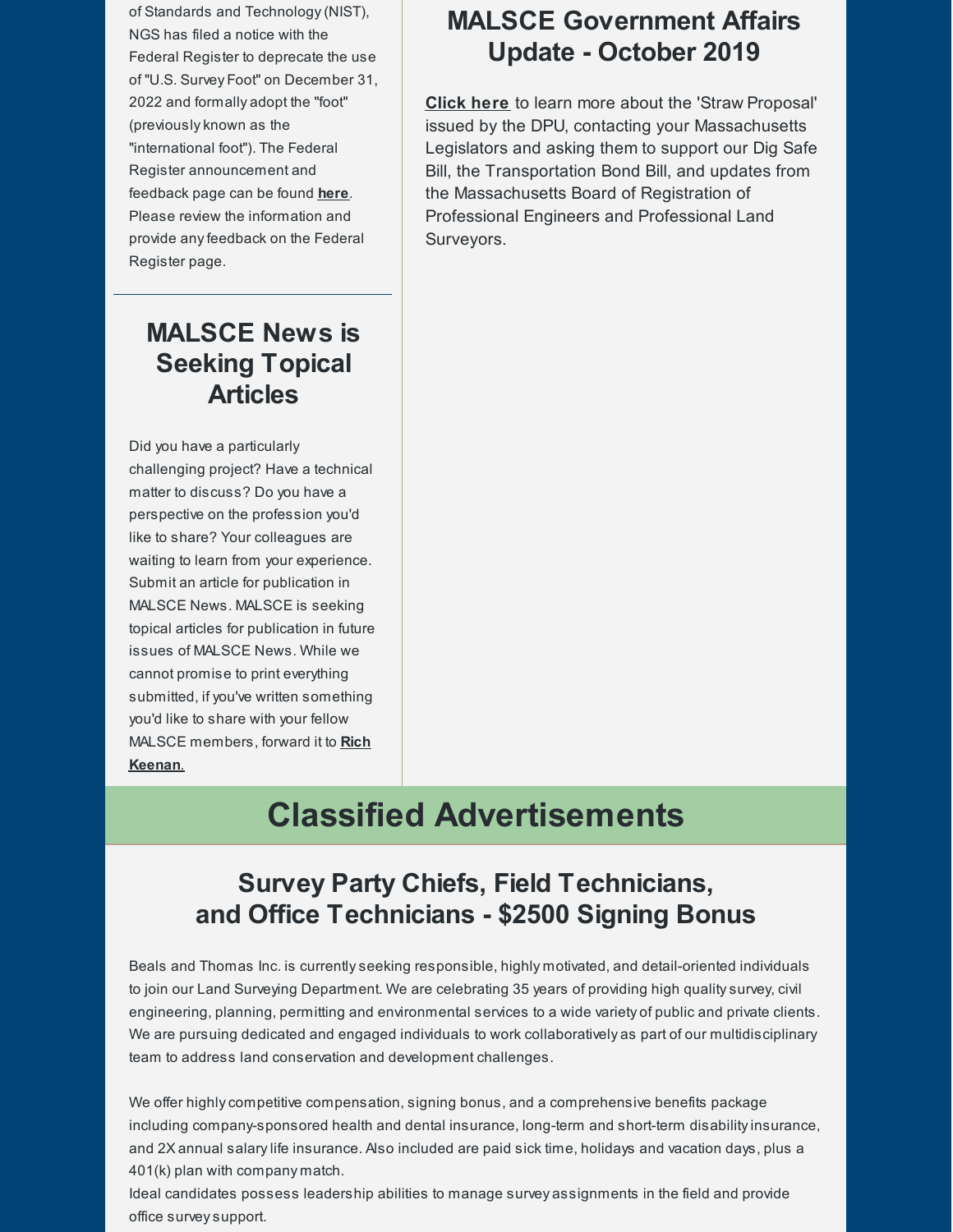of Standards and Technology(NIST), NGS has filed a notice with the Federal Register to deprecate the use of "U.S. Survey Foot" on December 31, 2022 and formally adopt the "foot" (previouslyknown as the "international foot"). The Federal Register announcement and feedback page can be found **[here](https://www.federalregister.gov/documents/2019/10/17/2019-22414/deprecation-of-the-united-states-us-survey-foot)**. Please review the information and provide anyfeedback on the Federal Register page.

### **MALSCE News is Seeking Topical Articles**

Did you have a particularly challenging project? Have a technical matter to discuss? Do you have a perspective on the profession you'd like to share? Your colleagues are waiting to learn from your experience. Submit an article for publication in MALSCE News. MALSCE is seeking topical articles for publication in future issues of MALSCE News. While we cannot promise to print everything submitted, if you've written something you'd like to share with your fellow MALSCE [members,](mailto:rkeenan@engineers.org) forward it to **Rich Keenan**.

## **MALSCE Government Affairs Update - October 2019**

**[Click](https://www.malsce.org/news-publications/news/malsce-government-affairs-update-october-2019-2741) here** to learn more about the 'Straw Proposal' issued by the DPU, contacting your Massachusetts Legislators and asking them to support our Dig Safe Bill, the Transportation Bond Bill, and updates from the Massachusetts Board of Registration of Professional Engineers and Professional Land Surveyors.

# **Classified Advertisements**

## **Survey Party Chiefs, Field Technicians, and Office Technicians - \$2500 Signing Bonus**

Beals and Thomas Inc. is currentlyseeking responsible, highly motivated, and detail-oriented individuals to join our Land Surveying Department. We are celebrating 35 years of providing high qualitysurvey, civil engineering, planning, permitting and environmental services to a wide variety of public and private clients. We are pursuing dedicated and engaged individuals to work collaboratively as part of our multidisciplinary team to address land conservation and development challenges.

We offer highly competitive compensation, signing bonus, and a comprehensive benefits package including company-sponsored health and dental insurance, long-term and short-term disabilityinsurance, and 2X annual salarylife insurance. Also included are paid sick time, holidays and vacation days, plus a 401(k) plan with company match.

Ideal candidates possess leadership abilities to manage survey assignments in the field and provide office surveysupport.